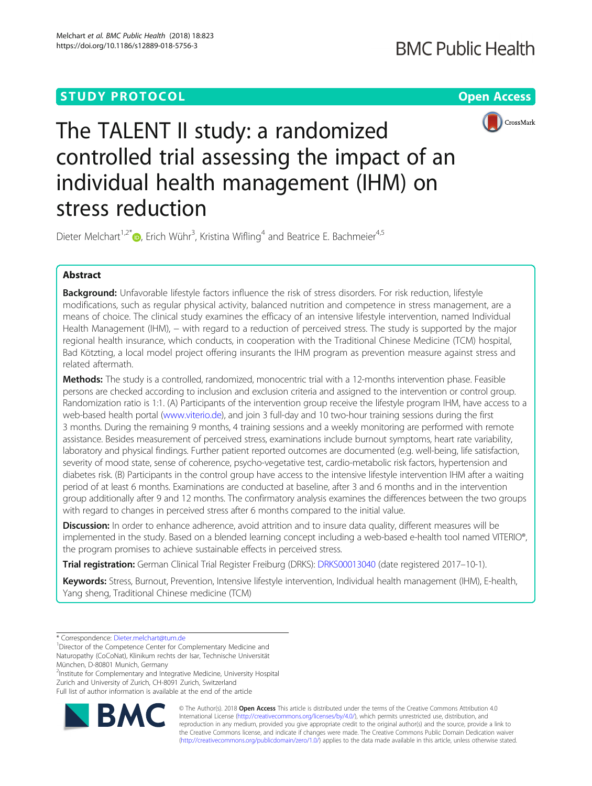# **STUDY PROTOCOL CONSUMING THE RESERVE ACCESS**



The TALENT II study: a randomized controlled trial assessing the impact of an individual health management (IHM) on stress reduction

Dieter Melchart<sup>1[,](http://orcid.org/0000-0001-9418-9761)2\*</sup>  $\bullet$ , Erich Wühr<sup>3</sup>, Kristina Wifling<sup>4</sup> and Beatrice E. Bachmeier<sup>4,5</sup>

# Abstract

**Background:** Unfavorable lifestyle factors influence the risk of stress disorders. For risk reduction, lifestyle modifications, such as regular physical activity, balanced nutrition and competence in stress management, are a means of choice. The clinical study examines the efficacy of an intensive lifestyle intervention, named Individual Health Management (IHM), – with regard to a reduction of perceived stress. The study is supported by the major regional health insurance, which conducts, in cooperation with the Traditional Chinese Medicine (TCM) hospital, Bad Kötzting, a local model project offering insurants the IHM program as prevention measure against stress and related aftermath.

Methods: The study is a controlled, randomized, monocentric trial with a 12-months intervention phase. Feasible persons are checked according to inclusion and exclusion criteria and assigned to the intervention or control group. Randomization ratio is 1:1. (A) Participants of the intervention group receive the lifestyle program IHM, have access to a web-based health portal [\(www.viterio.de\)](http://www.viterio.de), and join 3 full-day and 10 two-hour training sessions during the first 3 months. During the remaining 9 months, 4 training sessions and a weekly monitoring are performed with remote assistance. Besides measurement of perceived stress, examinations include burnout symptoms, heart rate variability, laboratory and physical findings. Further patient reported outcomes are documented (e.g. well-being, life satisfaction, severity of mood state, sense of coherence, psycho-vegetative test, cardio-metabolic risk factors, hypertension and diabetes risk. (B) Participants in the control group have access to the intensive lifestyle intervention IHM after a waiting period of at least 6 months. Examinations are conducted at baseline, after 3 and 6 months and in the intervention group additionally after 9 and 12 months. The confirmatory analysis examines the differences between the two groups with regard to changes in perceived stress after 6 months compared to the initial value.

Discussion: In order to enhance adherence, avoid attrition and to insure data quality, different measures will be implemented in the study. Based on a blended learning concept including a web-based e-health tool named VITERIO®, the program promises to achieve sustainable effects in perceived stress.

Trial registration: German Clinical Trial Register Freiburg (DRKS): [DRKS00013040](https://www.drks.de/drks_web/navigate.do?navigationId=resultsExt) (date registered 2017-10-1).

Keywords: Stress, Burnout, Prevention, Intensive lifestyle intervention, Individual health management (IHM), E-health, Yang sheng, Traditional Chinese medicine (TCM)

München, D-80801 Munich, Germany

<sup>2</sup>Institute for Complementary and Integrative Medicine, University Hospital Zurich and University of Zurich, CH-8091 Zurich, Switzerland

Full list of author information is available at the end of the article



© The Author(s). 2018 Open Access This article is distributed under the terms of the Creative Commons Attribution 4.0 International License [\(http://creativecommons.org/licenses/by/4.0/](http://creativecommons.org/licenses/by/4.0/)), which permits unrestricted use, distribution, and reproduction in any medium, provided you give appropriate credit to the original author(s) and the source, provide a link to the Creative Commons license, and indicate if changes were made. The Creative Commons Public Domain Dedication waiver [\(http://creativecommons.org/publicdomain/zero/1.0/](http://creativecommons.org/publicdomain/zero/1.0/)) applies to the data made available in this article, unless otherwise stated.

<sup>\*</sup> Correspondence: [Dieter.melchart@tum.de](mailto:Dieter.melchart@tum.de) <sup>1</sup>

<sup>&</sup>lt;sup>1</sup>Director of the Competence Center for Complementary Medicine and Naturopathy (CoCoNat), Klinikum rechts der Isar, Technische Universität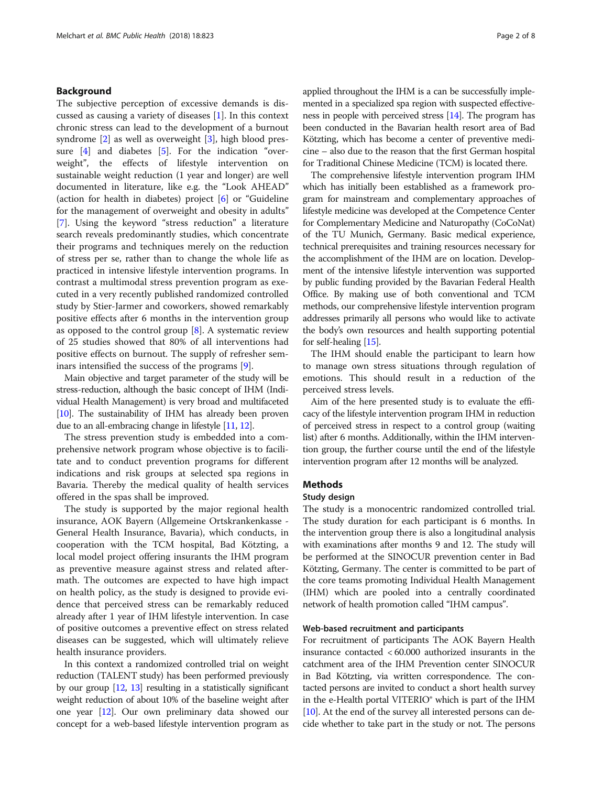# Background

The subjective perception of excessive demands is discussed as causing a variety of diseases [[1\]](#page-7-0). In this context chronic stress can lead to the development of a burnout syndrome [\[2](#page-7-0)] as well as overweight [[3\]](#page-7-0), high blood pressure  $[4]$  $[4]$  $[4]$  and diabetes  $[5]$  $[5]$ . For the indication "overweight", the effects of lifestyle intervention on sustainable weight reduction (1 year and longer) are well documented in literature, like e.g. the "Look AHEAD" (action for health in diabetes) project [\[6](#page-7-0)] or "Guideline for the management of overweight and obesity in adults" [[7\]](#page-7-0). Using the keyword "stress reduction" a literature search reveals predominantly studies, which concentrate their programs and techniques merely on the reduction of stress per se, rather than to change the whole life as practiced in intensive lifestyle intervention programs. In contrast a multimodal stress prevention program as executed in a very recently published randomized controlled study by Stier-Jarmer and coworkers, showed remarkably positive effects after 6 months in the intervention group as opposed to the control group  $[8]$  $[8]$ . A systematic review of 25 studies showed that 80% of all interventions had positive effects on burnout. The supply of refresher seminars intensified the success of the programs [[9\]](#page-7-0).

Main objective and target parameter of the study will be stress-reduction, although the basic concept of IHM (Individual Health Management) is very broad and multifaceted [[10](#page-7-0)]. The sustainability of IHM has already been proven due to an all-embracing change in lifestyle [\[11,](#page-7-0) [12\]](#page-7-0).

The stress prevention study is embedded into a comprehensive network program whose objective is to facilitate and to conduct prevention programs for different indications and risk groups at selected spa regions in Bavaria. Thereby the medical quality of health services offered in the spas shall be improved.

The study is supported by the major regional health insurance, AOK Bayern (Allgemeine Ortskrankenkasse - General Health Insurance, Bavaria), which conducts, in cooperation with the TCM hospital, Bad Kötzting, a local model project offering insurants the IHM program as preventive measure against stress and related aftermath. The outcomes are expected to have high impact on health policy, as the study is designed to provide evidence that perceived stress can be remarkably reduced already after 1 year of IHM lifestyle intervention. In case of positive outcomes a preventive effect on stress related diseases can be suggested, which will ultimately relieve health insurance providers.

In this context a randomized controlled trial on weight reduction (TALENT study) has been performed previously by our group [\[12,](#page-7-0) [13\]](#page-7-0) resulting in a statistically significant weight reduction of about 10% of the baseline weight after one year [\[12\]](#page-7-0). Our own preliminary data showed our concept for a web-based lifestyle intervention program as applied throughout the IHM is a can be successfully implemented in a specialized spa region with suspected effectiveness in people with perceived stress [\[14\]](#page-7-0). The program has been conducted in the Bavarian health resort area of Bad Kötzting, which has become a center of preventive medicine – also due to the reason that the first German hospital for Traditional Chinese Medicine (TCM) is located there.

The comprehensive lifestyle intervention program IHM which has initially been established as a framework program for mainstream and complementary approaches of lifestyle medicine was developed at the Competence Center for Complementary Medicine and Naturopathy (CoCoNat) of the TU Munich, Germany. Basic medical experience, technical prerequisites and training resources necessary for the accomplishment of the IHM are on location. Development of the intensive lifestyle intervention was supported by public funding provided by the Bavarian Federal Health Office. By making use of both conventional and TCM methods, our comprehensive lifestyle intervention program addresses primarily all persons who would like to activate the body's own resources and health supporting potential for self-healing [[15](#page-7-0)].

The IHM should enable the participant to learn how to manage own stress situations through regulation of emotions. This should result in a reduction of the perceived stress levels.

Aim of the here presented study is to evaluate the efficacy of the lifestyle intervention program IHM in reduction of perceived stress in respect to a control group (waiting list) after 6 months. Additionally, within the IHM intervention group, the further course until the end of the lifestyle intervention program after 12 months will be analyzed.

# **Methods**

# Study design

The study is a monocentric randomized controlled trial. The study duration for each participant is 6 months. In the intervention group there is also a longitudinal analysis with examinations after months 9 and 12. The study will be performed at the SINOCUR prevention center in Bad Kötzting, Germany. The center is committed to be part of the core teams promoting Individual Health Management (IHM) which are pooled into a centrally coordinated network of health promotion called "IHM campus".

# Web-based recruitment and participants

For recruitment of participants The AOK Bayern Health insurance contacted < 60.000 authorized insurants in the catchment area of the IHM Prevention center SINOCUR in Bad Kötzting, via written correspondence. The contacted persons are invited to conduct a short health survey in the e-Health portal VITERIO® which is part of the IHM [[10](#page-7-0)]. At the end of the survey all interested persons can decide whether to take part in the study or not. The persons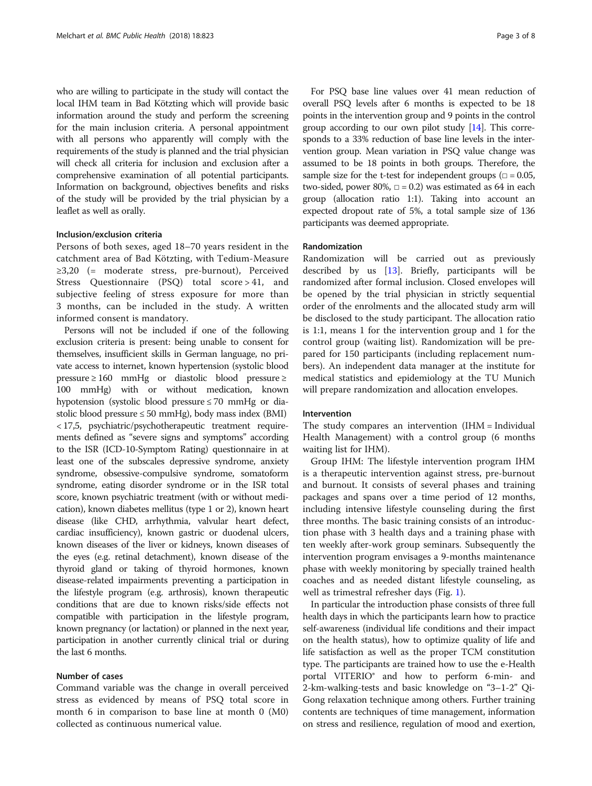who are willing to participate in the study will contact the local IHM team in Bad Kötzting which will provide basic information around the study and perform the screening for the main inclusion criteria. A personal appointment with all persons who apparently will comply with the requirements of the study is planned and the trial physician will check all criteria for inclusion and exclusion after a comprehensive examination of all potential participants. Information on background, objectives benefits and risks of the study will be provided by the trial physician by a leaflet as well as orally.

# Inclusion/exclusion criteria

Persons of both sexes, aged 18–70 years resident in the catchment area of Bad Kötzting, with Tedium-Measure ≥3,20 (= moderate stress, pre-burnout), Perceived Stress Questionnaire (PSQ) total score > 41, and subjective feeling of stress exposure for more than 3 months, can be included in the study. A written informed consent is mandatory.

Persons will not be included if one of the following exclusion criteria is present: being unable to consent for themselves, insufficient skills in German language, no private access to internet, known hypertension (systolic blood pressure ≥ 160 mmHg or diastolic blood pressure ≥ 100 mmHg) with or without medication, known hypotension (systolic blood pressure ≤ 70 mmHg or diastolic blood pressure  $\leq 50$  mmHg), body mass index (BMI) < 17,5, psychiatric/psychotherapeutic treatment requirements defined as "severe signs and symptoms" according to the ISR (ICD-10-Symptom Rating) questionnaire in at least one of the subscales depressive syndrome, anxiety syndrome, obsessive-compulsive syndrome, somatoform syndrome, eating disorder syndrome or in the ISR total score, known psychiatric treatment (with or without medication), known diabetes mellitus (type 1 or 2), known heart disease (like CHD, arrhythmia, valvular heart defect, cardiac insufficiency), known gastric or duodenal ulcers, known diseases of the liver or kidneys, known diseases of the eyes (e.g. retinal detachment), known disease of the thyroid gland or taking of thyroid hormones, known disease-related impairments preventing a participation in the lifestyle program (e.g. arthrosis), known therapeutic conditions that are due to known risks/side effects not compatible with participation in the lifestyle program, known pregnancy (or lactation) or planned in the next year, participation in another currently clinical trial or during the last 6 months.

# Number of cases

Command variable was the change in overall perceived stress as evidenced by means of PSQ total score in month 6 in comparison to base line at month 0 (M0) collected as continuous numerical value.

For PSQ base line values over 41 mean reduction of overall PSQ levels after 6 months is expected to be 18 points in the intervention group and 9 points in the control group according to our own pilot study [[14](#page-7-0)]. This corresponds to a 33% reduction of base line levels in the intervention group. Mean variation in PSQ value change was assumed to be 18 points in both groups. Therefore, the sample size for the t-test for independent groups ( $\Box = 0.05$ , two-sided, power 80%,  $\Box$  = 0.2) was estimated as 64 in each group (allocation ratio 1:1). Taking into account an expected dropout rate of 5%, a total sample size of 136 participants was deemed appropriate.

# Randomization

Randomization will be carried out as previously described by us [[13\]](#page-7-0). Briefly, participants will be randomized after formal inclusion. Closed envelopes will be opened by the trial physician in strictly sequential order of the enrolments and the allocated study arm will be disclosed to the study participant. The allocation ratio is 1:1, means 1 for the intervention group and 1 for the control group (waiting list). Randomization will be prepared for 150 participants (including replacement numbers). An independent data manager at the institute for medical statistics and epidemiology at the TU Munich will prepare randomization and allocation envelopes.

### Intervention

The study compares an intervention (IHM = Individual Health Management) with a control group (6 months waiting list for IHM).

Group IHM: The lifestyle intervention program IHM is a therapeutic intervention against stress, pre-burnout and burnout. It consists of several phases and training packages and spans over a time period of 12 months, including intensive lifestyle counseling during the first three months. The basic training consists of an introduction phase with 3 health days and a training phase with ten weekly after-work group seminars. Subsequently the intervention program envisages a 9-months maintenance phase with weekly monitoring by specially trained health coaches and as needed distant lifestyle counseling, as well as trimestral refresher days (Fig. [1](#page-3-0)).

In particular the introduction phase consists of three full health days in which the participants learn how to practice self-awareness (individual life conditions and their impact on the health status), how to optimize quality of life and life satisfaction as well as the proper TCM constitution type. The participants are trained how to use the e-Health portal VITERIO® and how to perform 6-min- and 2-km-walking-tests and basic knowledge on "3–1-2" Qi-Gong relaxation technique among others. Further training contents are techniques of time management, information on stress and resilience, regulation of mood and exertion,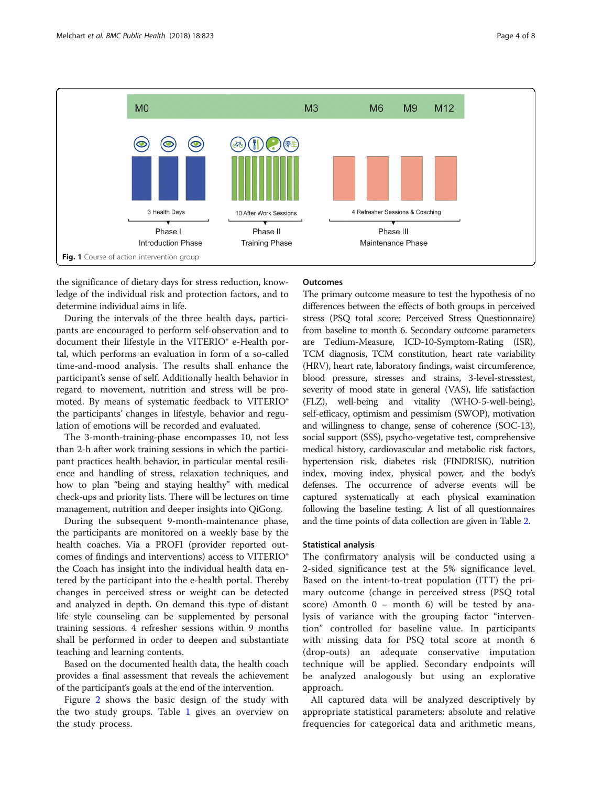<span id="page-3-0"></span>

the significance of dietary days for stress reduction, knowledge of the individual risk and protection factors, and to determine individual aims in life.

During the intervals of the three health days, participants are encouraged to perform self-observation and to document their lifestyle in the VITERIO® e-Health portal, which performs an evaluation in form of a so-called time-and-mood analysis. The results shall enhance the participant's sense of self. Additionally health behavior in regard to movement, nutrition and stress will be promoted. By means of systematic feedback to VITERIO® the participants' changes in lifestyle, behavior and regulation of emotions will be recorded and evaluated.

The 3-month-training-phase encompasses 10, not less than 2-h after work training sessions in which the participant practices health behavior, in particular mental resilience and handling of stress, relaxation techniques, and how to plan "being and staying healthy" with medical check-ups and priority lists. There will be lectures on time management, nutrition and deeper insights into QiGong.

During the subsequent 9-month-maintenance phase, the participants are monitored on a weekly base by the health coaches. Via a PROFI (provider reported outcomes of findings and interventions) access to VITERIO® the Coach has insight into the individual health data entered by the participant into the e-health portal. Thereby changes in perceived stress or weight can be detected and analyzed in depth. On demand this type of distant life style counseling can be supplemented by personal training sessions. 4 refresher sessions within 9 months shall be performed in order to deepen and substantiate teaching and learning contents.

Based on the documented health data, the health coach provides a final assessment that reveals the achievement of the participant's goals at the end of the intervention.

Figure [2](#page-4-0) shows the basic design of the study with the two study groups. Table [1](#page-4-0) gives an overview on the study process.

### **Outcomes**

The primary outcome measure to test the hypothesis of no differences between the effects of both groups in perceived stress (PSQ total score; Perceived Stress Questionnaire) from baseline to month 6. Secondary outcome parameters are Tedium-Measure, ICD-10-Symptom-Rating (ISR), TCM diagnosis, TCM constitution, heart rate variability (HRV), heart rate, laboratory findings, waist circumference, blood pressure, stresses and strains, 3-level-stresstest, severity of mood state in general (VAS), life satisfaction (FLZ), well-being and vitality (WHO-5-well-being), self-efficacy, optimism and pessimism (SWOP), motivation and willingness to change, sense of coherence (SOC-13), social support (SSS), psycho-vegetative test, comprehensive medical history, cardiovascular and metabolic risk factors, hypertension risk, diabetes risk (FINDRISK), nutrition index, moving index, physical power, and the body's defenses. The occurrence of adverse events will be captured systematically at each physical examination following the baseline testing. A list of all questionnaires and the time points of data collection are given in Table [2.](#page-5-0)

# Statistical analysis

The confirmatory analysis will be conducted using a 2-sided significance test at the 5% significance level. Based on the intent-to-treat population (ITT) the primary outcome (change in perceived stress (PSQ total score)  $\Delta$ month 0 – month 6) will be tested by analysis of variance with the grouping factor "intervention" controlled for baseline value. In participants with missing data for PSQ total score at month 6 (drop-outs) an adequate conservative imputation technique will be applied. Secondary endpoints will be analyzed analogously but using an explorative approach.

All captured data will be analyzed descriptively by appropriate statistical parameters: absolute and relative frequencies for categorical data and arithmetic means,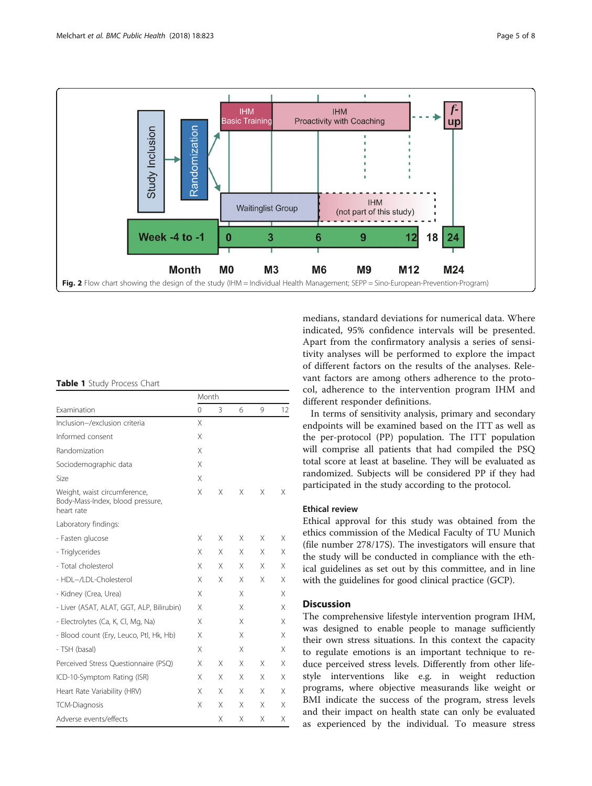<span id="page-4-0"></span>

# Table 1 Study Process Chart

| <b>Examination</b>                                                             | Month    |   |    |   |    |  |  |
|--------------------------------------------------------------------------------|----------|---|----|---|----|--|--|
|                                                                                | $\Omega$ | 3 | 6  | 9 | 12 |  |  |
| Inclusion-/exclusion criteria                                                  | X        |   |    |   |    |  |  |
| Informed consent                                                               | X        |   |    |   |    |  |  |
| Randomization                                                                  | X        |   |    |   |    |  |  |
| Sociodemographic data                                                          | $\times$ |   |    |   |    |  |  |
| Size                                                                           | X        |   |    |   |    |  |  |
| Weight, waist circumference,<br>Body-Mass-Index, blood pressure,<br>heart rate | X        | Χ | X  | X | X  |  |  |
| Laboratory findings:                                                           |          |   |    |   |    |  |  |
| - Fasten glucose                                                               | X        | X | Χ  | X | X  |  |  |
| - Triglycerides                                                                | X        | Χ | Χ  | Χ | X  |  |  |
| - Total cholesterol                                                            | X        | Χ | X  | X | X  |  |  |
| - HDL-/LDL-Cholesterol                                                         | X        | Χ | X. | X | X  |  |  |
| - Kidney (Crea, Urea)                                                          | X        |   | X  |   | X  |  |  |
| - Liver (ASAT, ALAT, GGT, ALP, Bilirubin)                                      | X        |   | X  |   | X  |  |  |
| - Electrolytes (Ca, K, Cl, Mg, Na)                                             | X        |   | Χ  |   | X  |  |  |
| - Blood count (Ery, Leuco, Ptl, Hk, Hb)                                        | X        |   | Χ  |   | X  |  |  |
| - TSH (basal)                                                                  | Χ        |   | Χ  |   | X  |  |  |
| Perceived Stress Questionnaire (PSQ)                                           | X        | Χ | X  | X | X  |  |  |
| ICD-10-Symptom Rating (ISR)                                                    | Χ        | Χ | Χ  | Χ | X  |  |  |
| Heart Rate Variability (HRV)                                                   | X        | X | X  | X | X  |  |  |
| <b>TCM-Diagnosis</b>                                                           | X        | X | X  | X | X  |  |  |
| Adverse events/effects                                                         |          | Χ | Χ  | Χ | Χ  |  |  |

medians, standard deviations for numerical data. Where indicated, 95% confidence intervals will be presented. Apart from the confirmatory analysis a series of sensitivity analyses will be performed to explore the impact of different factors on the results of the analyses. Relevant factors are among others adherence to the protocol, adherence to the intervention program IHM and different responder definitions.

In terms of sensitivity analysis, primary and secondary endpoints will be examined based on the ITT as well as the per-protocol (PP) population. The ITT population will comprise all patients that had compiled the PSQ total score at least at baseline. They will be evaluated as randomized. Subjects will be considered PP if they had participated in the study according to the protocol.

# Ethical review

Ethical approval for this study was obtained from the ethics commission of the Medical Faculty of TU Munich (file number 278/17S). The investigators will ensure that the study will be conducted in compliance with the ethical guidelines as set out by this committee, and in line with the guidelines for good clinical practice (GCP).

# **Discussion**

The comprehensive lifestyle intervention program IHM, was designed to enable people to manage sufficiently their own stress situations. In this context the capacity to regulate emotions is an important technique to reduce perceived stress levels. Differently from other lifestyle interventions like e.g. in weight reduction programs, where objective measurands like weight or BMI indicate the success of the program, stress levels and their impact on health state can only be evaluated as experienced by the individual. To measure stress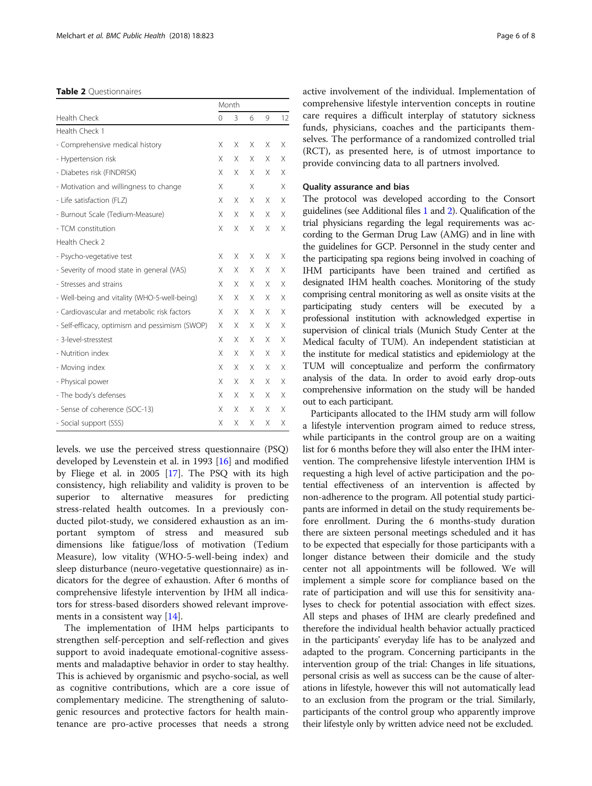### <span id="page-5-0"></span>Table 2 Questionnaires

| Health Check                                   |   | Month |   |   |    |  |  |
|------------------------------------------------|---|-------|---|---|----|--|--|
|                                                |   | 3     | 6 | 9 | 12 |  |  |
| Health Check 1                                 |   |       |   |   |    |  |  |
| - Comprehensive medical history                | X | X     | X | Χ | X  |  |  |
| - Hypertension risk                            | Χ | X     | X | Χ | X  |  |  |
| - Diabetes risk (FINDRISK)                     | Χ | X     | X | Χ | X  |  |  |
| - Motivation and willingness to change         | Χ |       | X |   | Χ  |  |  |
| - Life satisfaction (FLZ)                      | X | X     | X | Χ | X  |  |  |
| - Burnout Scale (Tedium-Measure)               | Χ | X     | X | Χ | X  |  |  |
| - TCM constitution                             | X | X     | X | Χ | X  |  |  |
| Health Check 2                                 |   |       |   |   |    |  |  |
| - Psycho-vegetative test                       | Χ | X     | X | Χ | X  |  |  |
| - Severity of mood state in general (VAS)      | X | X     | X | X | X  |  |  |
| - Stresses and strains                         | Χ | X     | X | Χ | X  |  |  |
| - Well-being and vitality (WHO-5-well-being)   | Χ | X     | X | Χ | X  |  |  |
| - Cardiovascular and metabolic risk factors    | Χ | X     | X | Χ | X  |  |  |
| - Self-efficacy, optimism and pessimism (SWOP) | Χ | X     | X | Χ | X  |  |  |
| - 3-level-stresstest                           | X | X     | X | X | X  |  |  |
| - Nutrition index                              | Χ | X     | X | X | X  |  |  |
| - Moving index                                 | X | X     | X | X | X  |  |  |
| - Physical power                               | Χ | X     | Χ | Χ | Χ  |  |  |
| - The body's defenses                          | Χ | X.    | X | Χ | X  |  |  |
| - Sense of coherence (SOC-13)                  | X | X     | X | Χ | X  |  |  |
| - Social support (SSS)                         | Χ | X     | X | Χ | X  |  |  |

levels. we use the perceived stress questionnaire (PSQ) developed by Levenstein et al. in 1993 [\[16](#page-7-0)] and modified by Fliege et al. in 2005 [\[17\]](#page-7-0). The PSQ with its high consistency, high reliability and validity is proven to be superior to alternative measures for predicting stress-related health outcomes. In a previously conducted pilot-study, we considered exhaustion as an important symptom of stress and measured sub dimensions like fatigue/loss of motivation (Tedium Measure), low vitality (WHO-5-well-being index) and sleep disturbance (neuro-vegetative questionnaire) as indicators for the degree of exhaustion. After 6 months of comprehensive lifestyle intervention by IHM all indicators for stress-based disorders showed relevant improvements in a consistent way [[14\]](#page-7-0).

The implementation of IHM helps participants to strengthen self-perception and self-reflection and gives support to avoid inadequate emotional-cognitive assessments and maladaptive behavior in order to stay healthy. This is achieved by organismic and psycho-social, as well as cognitive contributions, which are a core issue of complementary medicine. The strengthening of salutogenic resources and protective factors for health maintenance are pro-active processes that needs a strong active involvement of the individual. Implementation of comprehensive lifestyle intervention concepts in routine care requires a difficult interplay of statutory sickness funds, physicians, coaches and the participants themselves. The performance of a randomized controlled trial (RCT), as presented here, is of utmost importance to provide convincing data to all partners involved.

# Quality assurance and bias

The protocol was developed according to the Consort guidelines (see Additional files [1](#page-6-0) and [2](#page-6-0)). Qualification of the trial physicians regarding the legal requirements was according to the German Drug Law (AMG) and in line with the guidelines for GCP. Personnel in the study center and the participating spa regions being involved in coaching of IHM participants have been trained and certified as designated IHM health coaches. Monitoring of the study comprising central monitoring as well as onsite visits at the participating study centers will be executed by a professional institution with acknowledged expertise in supervision of clinical trials (Munich Study Center at the Medical faculty of TUM). An independent statistician at the institute for medical statistics and epidemiology at the TUM will conceptualize and perform the confirmatory analysis of the data. In order to avoid early drop-outs comprehensive information on the study will be handed out to each participant.

Participants allocated to the IHM study arm will follow a lifestyle intervention program aimed to reduce stress, while participants in the control group are on a waiting list for 6 months before they will also enter the IHM intervention. The comprehensive lifestyle intervention IHM is requesting a high level of active participation and the potential effectiveness of an intervention is affected by non-adherence to the program. All potential study participants are informed in detail on the study requirements before enrollment. During the 6 months-study duration there are sixteen personal meetings scheduled and it has to be expected that especially for those participants with a longer distance between their domicile and the study center not all appointments will be followed. We will implement a simple score for compliance based on the rate of participation and will use this for sensitivity analyses to check for potential association with effect sizes. All steps and phases of IHM are clearly predefined and therefore the individual health behavior actually practiced in the participants' everyday life has to be analyzed and adapted to the program. Concerning participants in the intervention group of the trial: Changes in life situations, personal crisis as well as success can be the cause of alterations in lifestyle, however this will not automatically lead to an exclusion from the program or the trial. Similarly, participants of the control group who apparently improve their lifestyle only by written advice need not be excluded.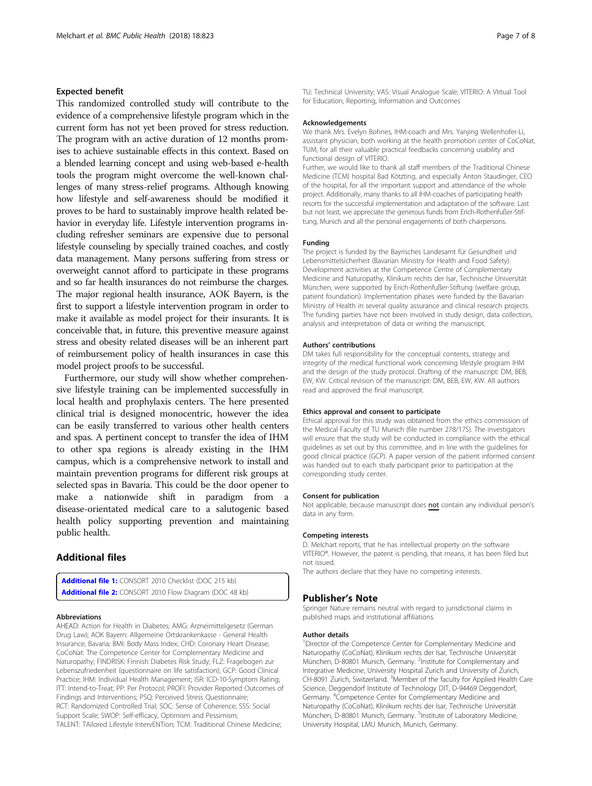# <span id="page-6-0"></span>Expected benefit

This randomized controlled study will contribute to the evidence of a comprehensive lifestyle program which in the current form has not yet been proved for stress reduction. The program with an active duration of 12 months promises to achieve sustainable effects in this context. Based on a blended learning concept and using web-based e-health tools the program might overcome the well-known challenges of many stress-relief programs. Although knowing how lifestyle and self-awareness should be modified it proves to be hard to sustainably improve health related behavior in everyday life. Lifestyle intervention programs including refresher seminars are expensive due to personal lifestyle counseling by specially trained coaches, and costly data management. Many persons suffering from stress or overweight cannot afford to participate in these programs and so far health insurances do not reimburse the charges. The major regional health insurance, AOK Bayern, is the first to support a lifestyle intervention program in order to make it available as model project for their insurants. It is conceivable that, in future, this preventive measure against stress and obesity related diseases will be an inherent part of reimbursement policy of health insurances in case this model project proofs to be successful.

Furthermore, our study will show whether comprehensive lifestyle training can be implemented successfully in local health and prophylaxis centers. The here presented clinical trial is designed monocentric, however the idea can be easily transferred to various other health centers and spas. A pertinent concept to transfer the idea of IHM to other spa regions is already existing in the IHM campus, which is a comprehensive network to install and maintain prevention programs for different risk groups at selected spas in Bavaria. This could be the door opener to make a nationwide shift in paradigm from a disease-orientated medical care to a salutogenic based health policy supporting prevention and maintaining public health.

# Additional files

[Additional file 1:](https://doi.org/10.1186/s12889-018-5756-3) CONSORT 2010 Checklist (DOC 215 kb) [Additional file 2:](https://doi.org/10.1186/s12889-018-5756-3) CONSORT 2010 Flow Diagram (DOC 48 kb)

### Abbreviations

AHEAD: Action for Health in Diabetes; AMG: Arzneimittelgesetz (German Drug Law); AOK Bayern: Allgemeine Ortskrankenkasse - General Health Insurance, Bavaria; BMI: Body Mass Index; CHD: Coronary Heart Disease; CoCoNat: The Competence Center for Complementary Medicine and Naturopathy; FINDRISK: Finnish Diabetes Risk Study; FLZ: Fragebogen zur Lebenszufriedenheit (questionnaire on life satisfaction); GCP: Good Clinical Practice; IHM: Individual Health Management; ISR: ICD-10-Symptom Rating; ITT: Intend-to-Treat; PP: Per Protocol; PROFI: Provider Reported Outcomes of Findings and Interventions; PSQ: Perceived Stress Questionnaire; RCT: Randomized Controlled Trial; SOC: Sense of Coherence; SSS: Social Support Scale; SWOP: Self-efficacy, Optimism and Pessimism; TALENT: TAilored Lifestyle IntervENTion; TCM: Traditional Chinese Medicine;

TU: Technical University; VAS: Visual Analogue Scale; VITERIO: A VIrtual Tool for Education, Reporting, Information and Outcomes

#### Acknowledgements

We thank Mrs. Evelyn Bohnes, IHM-coach and Mrs. Yanjing Wellenhofer-Li, assistant physician, both working at the health promotion center of CoCoNat, TUM, for all their valuable practical feedbacks concerning usability and functional design of VITERIO.

Further, we would like to thank all staff members of the Traditional Chinese Medicine (TCM) hospital Bad Kötzting, and especially Anton Staudinger, CEO of the hospital, for all the important support and attendance of the whole project. Additionally, many thanks to all IHM-coaches of participating health resorts for the successful implementation and adaptation of the software. Last but not least, we appreciate the generous funds from Erich-Rothenfußer-Stiftung, Munich and all the personal engagements of both chairpersons.

#### Funding

The project is funded by the Bayrisches Landesamt für Gesundheit und Lebensmittelsicherheit (Bavarian Ministry for Health and Food Safety). Development activities at the Competence Centre of Complementary Medicine and Naturopathy, Klinikum rechts der Isar, Technische Universität München, were supported by Erich-Rothenfußer-Stiftung (welfare group, patient foundation). Implementation phases were funded by the Bavarian Ministry of Health in several quality assurance and clinical research projects. The funding parties have not been involved in study design, data collection, analysis and interpretation of data or writing the manuscript.

### Authors' contributions

DM takes full responsibility for the conceptual contents, strategy and integrity of the medical functional work concerning lifestyle program IHM and the design of the study protocol. Drafting of the manuscript: DM, BEB, EW, KW. Critical revision of the manuscript: DM, BEB, EW, KW. All authors read and approved the final manuscript.

### Ethics approval and consent to participate

Ethical approval for this study was obtained from the ethics commission of the Medical Faculty of TU Munich (file number 278/17S). The investigators will ensure that the study will be conducted in compliance with the ethical guidelines as set out by this committee, and in line with the guidelines for good clinical practice (GCP). A paper version of the patient informed consent was handed out to each study participant prior to participation at the corresponding study center.

#### Consent for publication

Not applicable, because manuscript does not contain any individual person's data in any form.

#### Competing interests

D. Melchart reports, that he has intellectual property on the software VITERIO®. However, the patent is pending, that means, it has been filed but not issued.

The authors declare that they have no competing interests.

# Publisher's Note

Springer Nature remains neutral with regard to jurisdictional claims in published maps and institutional affiliations.

#### Author details

<sup>1</sup> Director of the Competence Center for Complementary Medicine and Naturopathy (CoCoNat), Klinikum rechts der Isar, Technische Universität München, D-80801 Munich, Germany. <sup>2</sup>Institute for Complementary and Integrative Medicine, University Hospital Zurich and University of Zurich, CH-8091 Zurich, Switzerland. <sup>3</sup>Member of the faculty for Applied Health Care Science, Deggendorf Institute of Technology DIT, D-94469 Deggendorf, Germany. <sup>4</sup> Competence Center for Complementary Medicine and Naturopathy (CoCoNat), Klinikum rechts der Isar, Technische Universität München, D-80801 Munich, Germany. <sup>5</sup>Institute of Laboratory Medicine, University Hospital, LMU Munich, Munich, Germany.